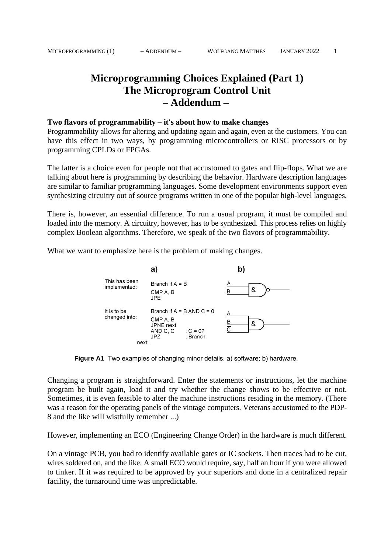# **Microprogramming Choices Explained (Part 1) The Microprogram Control Unit – Addendum –**

#### **Two flavors of programmability – it's about how to make changes**

Programmability allows for altering and updating again and again, even at the customers. You can have this effect in two ways, by programming microcontrollers or RISC processors or by programming CPLDs or FPGAs.

The latter is a choice even for people not that accustomed to gates and flip-flops. What we are talking about here is programming by describing the behavior. Hardware description languages are similar to familiar programming languages. Some development environments support even synthesizing circuitry out of source programs written in one of the popular high-level languages.

There is, however, an essential difference. To run a usual program, it must be compiled and loaded into the memory. A circuitry, however, has to be synthesized. This process relies on highly complex Boolean algorithms. Therefore, we speak of the two flavors of programmability.

What we want to emphasize here is the problem of making changes.



**Figure A1** Two examples of changing minor details. a) software; b) hardware.

Changing a program is straightforward. Enter the statements or instructions, let the machine program be built again, load it and try whether the change shows to be effective or not. Sometimes, it is even feasible to alter the machine instructions residing in the memory. (There was a reason for the operating panels of the vintage computers. Veterans accustomed to the PDP-8 and the like will wistfully remember ...)

However, implementing an ECO (Engineering Change Order) in the hardware is much different.

On a vintage PCB, you had to identify available gates or IC sockets. Then traces had to be cut, wires soldered on, and the like. A small ECO would require, say, half an hour if you were allowed to tinker. If it was required to be approved by your superiors and done in a centralized repair facility, the turnaround time was unpredictable.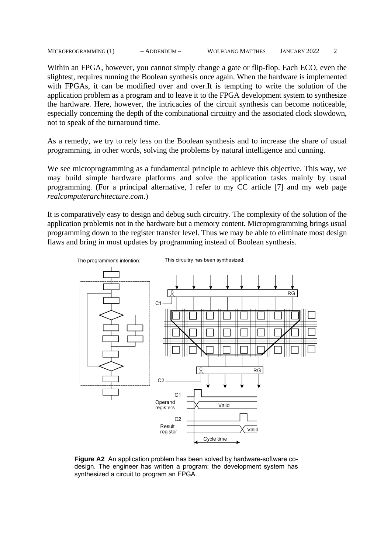MICROPROGRAMMING (1) – ADDENDUM – WOLFGANG MATTHES JANUARY 2022 2

Within an FPGA, however, you cannot simply change a gate or flip-flop. Each ECO, even the slightest, requires running the Boolean synthesis once again. When the hardware is implemented with FPGAs, it can be modified over and over.It is tempting to write the solution of the application problem as a program and to leave it to the FPGA development system to synthesize the hardware. Here, however, the intricacies of the circuit synthesis can become noticeable, especially concerning the depth of the combinational circuitry and the associated clock slowdown, not to speak of the turnaround time.

As a remedy, we try to rely less on the Boolean synthesis and to increase the share of usual programming, in other words, solving the problems by natural intelligence and cunning.

We see microprogramming as a fundamental principle to achieve this objective. This way, we may build simple hardware platforms and solve the application tasks mainly by usual programming. (For a principal alternative, I refer to my CC article [7] and my web page *realcomputerarchitecture.com*.)

It is comparatively easy to design and debug such circuitry. The complexity of the solution of the application problemis not in the hardware but a memory content. Microprogramming brings usual programming down to the register transfer level. Thus we may be able to eliminate most design flaws and bring in most updates by programming instead of Boolean synthesis.



**Figure A2** An application problem has been solved by hardware-software codesign. The engineer has written a program; the development system has synthesized a circuit to program an FPGA.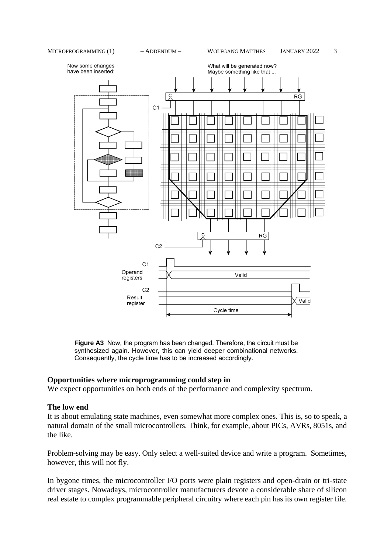

**Figure A3** Now, the program has been changed. Therefore, the circuit must be synthesized again. However, this can yield deeper combinational networks. Consequently, the cycle time has to be increased accordingly.

## **Opportunities where microprogramming could step in**

We expect opportunities on both ends of the performance and complexity spectrum.

#### **The low end**

It is about emulating state machines, even somewhat more complex ones. This is, so to speak, a natural domain of the small microcontrollers. Think, for example, about PICs, AVRs, 8051s, and the like.

Problem-solving may be easy. Only select a well-suited device and write a program. Sometimes, however, this will not fly.

In bygone times, the microcontroller I/O ports were plain registers and open-drain or tri-state driver stages. Nowadays, microcontroller manufacturers devote a considerable share of silicon real estate to complex programmable peripheral circuitry where each pin has its own register file.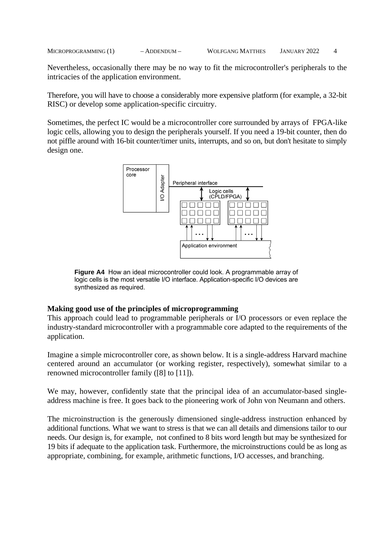Nevertheless, occasionally there may be no way to fit the microcontroller's peripherals to the intricacies of the application environment.

Therefore, you will have to choose a considerably more expensive platform (for example, a 32-bit RISC) or develop some application-specific circuitry.

Sometimes, the perfect IC would be a microcontroller core surrounded by arrays of FPGA-like logic cells, allowing you to design the peripherals yourself. If you need a 19-bit counter, then do not piffle around with 16-bit counter/timer units, interrupts, and so on, but don't hesitate to simply design one.



**Figure A4** How an ideal microcontroller could look. A programmable array of logic cells is the most versatile I/O interface. Application-specific I/O devices are synthesized as required.

## **Making good use of the principles of microprogramming**

This approach could lead to programmable peripherals or I/O processors or even replace the industry-standard microcontroller with a programmable core adapted to the requirements of the application.

Imagine a simple microcontroller core, as shown below. It is a single-address Harvard machine centered around an accumulator (or working register, respectively), somewhat similar to a renowned microcontroller family ([8] to [11]).

We may, however, confidently state that the principal idea of an accumulator-based singleaddress machine is free. It goes back to the pioneering work of John von Neumann and others.

The microinstruction is the generously dimensioned single-address instruction enhanced by additional functions. What we want to stress is that we can all details and dimensions tailor to our needs. Our design is, for example, not confined to 8 bits word length but may be synthesized for 19 bits if adequate to the application task. Furthermore, the microinstructions could be as long as appropriate, combining, for example, arithmetic functions, I/O accesses, and branching.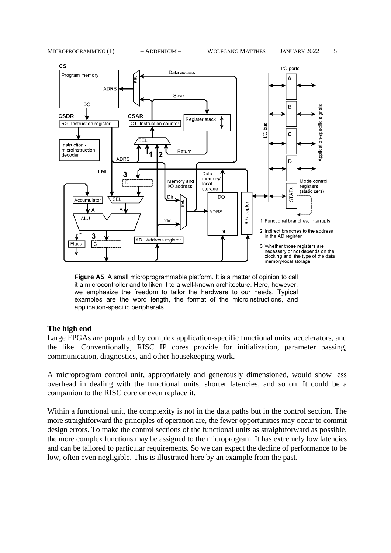MICROPROGRAMMING (1) – ADDENDUM – WOLFGANG MATTHES JANUARY 2022 5



**Figure A5** A small microprogrammable platform. It is a matter of opinion to call it a microcontroller and to liken it to a well-known architecture. Here, however, we emphasize the freedom to tailor the hardware to our needs. Typical examples are the word length, the format of the microinstructions, and application-specific peripherals.

#### **The high end**

Large FPGAs are populated by complex application-specific functional units, accelerators, and the like. Conventionally, RISC IP cores provide for initialization, parameter passing, communication, diagnostics, and other housekeeping work.

A microprogram control unit, appropriately and generously dimensioned, would show less overhead in dealing with the functional units, shorter latencies, and so on. It could be a companion to the RISC core or even replace it.

Within a functional unit, the complexity is not in the data paths but in the control section. The more straightforward the principles of operation are, the fewer opportunities may occur to commit design errors. To make the control sections of the functional units as straightforward as possible, the more complex functions may be assigned to the microprogram. It has extremely low latencies and can be tailored to particular requirements. So we can expect the decline of performance to be low, often even negligible. This is illustrated here by an example from the past.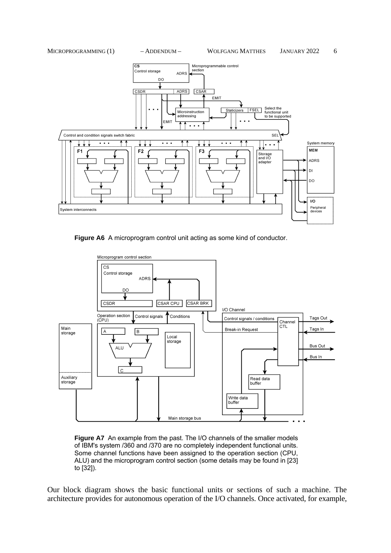



**Figure A6** A microprogram control unit acting as some kind of conductor.



**Figure A7** An example from the past. The I/O channels of the smaller models of IBM's system /360 and /370 are no completely independent functional units. Some channel functions have been assigned to the operation section (CPU, ALU) and the microprogram control section (some details may be found in [23] to [32]).

Our block diagram shows the basic functional units or sections of such a machine. The architecture provides for autonomous operation of the I/O channels. Once activated, for example,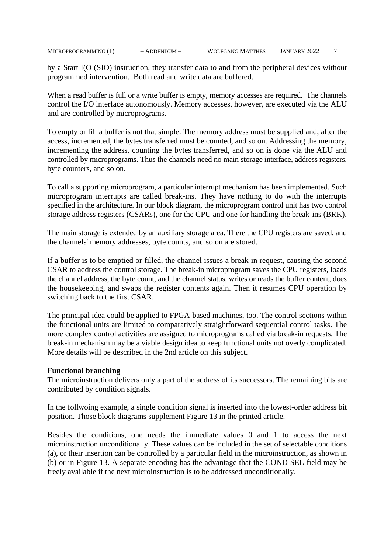by a Start I(O (SIO) instruction, they transfer data to and from the peripheral devices without programmed intervention. Both read and write data are buffered.

When a read buffer is full or a write buffer is empty, memory accesses are required. The channels control the I/O interface autonomously. Memory accesses, however, are executed via the ALU and are controlled by microprograms.

To empty or fill a buffer is not that simple. The memory address must be supplied and, after the access, incremented, the bytes transferred must be counted, and so on. Addressing the memory, incrementing the address, counting the bytes transferred, and so on is done via the ALU and controlled by microprograms. Thus the channels need no main storage interface, address registers, byte counters, and so on.

To call a supporting microprogram, a particular interrupt mechanism has been implemented. Such microprogram interrupts are called break-ins. They have nothing to do with the interrupts specified in the architecture. In our block diagram, the microprogram control unit has two control storage address registers (CSARs), one for the CPU and one for handling the break-ins (BRK).

The main storage is extended by an auxiliary storage area. There the CPU registers are saved, and the channels' memory addresses, byte counts, and so on are stored.

If a buffer is to be emptied or filled, the channel issues a break-in request, causing the second CSAR to address the control storage. The break-in microprogram saves the CPU registers, loads the channel address, the byte count, and the channel status, writes or reads the buffer content, does the housekeeping, and swaps the register contents again. Then it resumes CPU operation by switching back to the first CSAR.

The principal idea could be applied to FPGA-based machines, too. The control sections within the functional units are limited to comparatively straightforward sequential control tasks. The more complex control activities are assigned to microprograms called via break-in requests. The break-in mechanism may be a viable design idea to keep functional units not overly complicated. More details will be described in the 2nd article on this subject.

## **Functional branching**

The microinstruction delivers only a part of the address of its successors. The remaining bits are contributed by condition signals.

In the follwoing example, a single condition signal is inserted into the lowest-order address bit position. Those block diagrams supplement Figure 13 in the printed article.

Besides the conditions, one needs the immediate values 0 and 1 to access the next microinstruction unconditionally. These values can be included in the set of selectable conditions (a), or their insertion can be controlled by a particular field in the microinstruction, as shown in (b) or in Figure 13. A separate encoding has the advantage that the COND SEL field may be freely available if the next microinstruction is to be addressed unconditionally.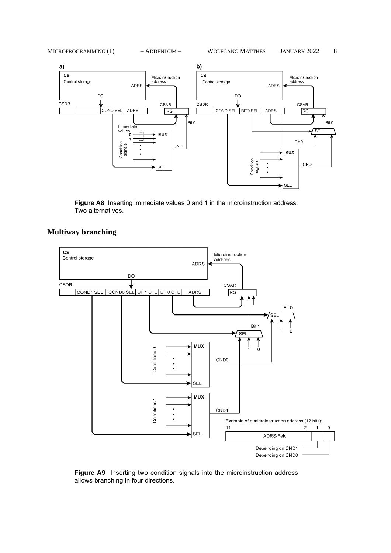





**Figure A8** Inserting immediate values 0 and 1 in the microinstruction address. Two alternatives.

## **Multiway branching**



**Figure A9** Inserting two condition signals into the microinstruction address allows branching in four directions.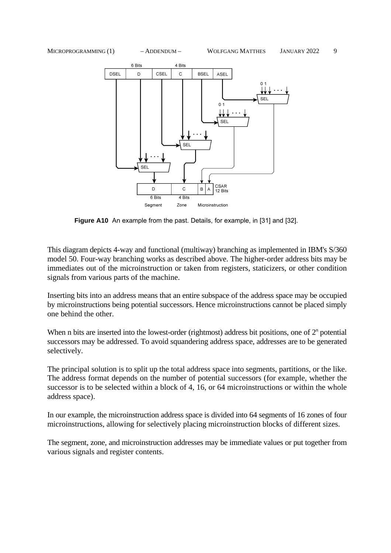

**Figure A10** An example from the past. Details, for example, in [31] and [32].

This diagram depicts 4-way and functional (multiway) branching as implemented in IBM's S/360 model 50. Four-way branching works as described above. The higher-order address bits may be immediates out of the microinstruction or taken from registers, staticizers, or other condition signals from various parts of the machine.

Inserting bits into an address means that an entire subspace of the address space may be occupied by microinstructions being potential successors. Hence microinstructions cannot be placed simply one behind the other.

When n bits are inserted into the lowest-order (rightmost) address bit positions, one of  $2<sup>n</sup>$  potential successors may be addressed. To avoid squandering address space, addresses are to be generated selectively.

The principal solution is to split up the total address space into segments, partitions, or the like. The address format depends on the number of potential successors (for example, whether the successor is to be selected within a block of 4, 16, or 64 microinstructions or within the whole address space).

In our example, the microinstruction address space is divided into 64 segments of 16 zones of four microinstructions, allowing for selectively placing microinstruction blocks of different sizes.

The segment, zone, and microinstruction addresses may be immediate values or put together from various signals and register contents.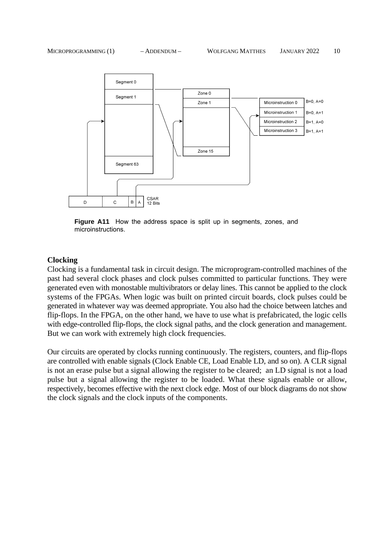

**Figure A11** How the address space is split up in segments, zones, and microinstructions.

#### **Clocking**

Clocking is a fundamental task in circuit design. The microprogram-controlled machines of the past had several clock phases and clock pulses committed to particular functions. They were generated even with monostable multivibrators or delay lines. This cannot be applied to the clock systems of the FPGAs. When logic was built on printed circuit boards, clock pulses could be generated in whatever way was deemed appropriate. You also had the choice between latches and flip-flops. In the FPGA, on the other hand, we have to use what is prefabricated, the logic cells with edge-controlled flip-flops, the clock signal paths, and the clock generation and management. But we can work with extremely high clock frequencies.

Our circuits are operated by clocks running continuously. The registers, counters, and flip-flops are controlled with enable signals (Clock Enable CE, Load Enable LD, and so on). A CLR signal is not an erase pulse but a signal allowing the register to be cleared; an LD signal is not a load pulse but a signal allowing the register to be loaded. What these signals enable or allow, respectively, becomes effective with the next clock edge. Most of our block diagrams do not show the clock signals and the clock inputs of the components.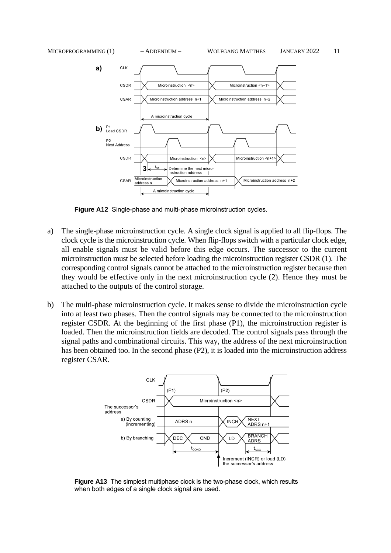

**Figure A12** Single-phase and multi-phase microinstruction cycles.

- a) The single-phase microinstruction cycle. A single clock signal is applied to all flip-flops. The clock cycle is the microinstruction cycle. When flip-flops switch with a particular clock edge, all enable signals must be valid before this edge occurs. The successor to the current microinstruction must be selected before loading the microinstruction register CSDR (1). The corresponding control signals cannot be attached to the microinstruction register because then they would be effective only in the next microinstruction cycle (2). Hence they must be attached to the outputs of the control storage.
- b) The multi-phase microinstruction cycle. It makes sense to divide the microinstruction cycle into at least two phases. Then the control signals may be connected to the microinstruction register CSDR. At the beginning of the first phase (P1), the microinstruction register is loaded. Then the microinstruction fields are decoded. The control signals pass through the signal paths and combinational circuits. This way, the address of the next microinstruction has been obtained too. In the second phase (P2), it is loaded into the microinstruction address register CSAR.



**Figure A13** The simplest multiphase clock is the two-phase clock, which results when both edges of a single clock signal are used.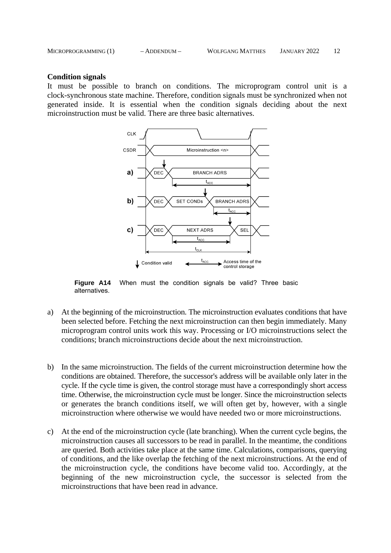| MICROPROGRAMMING (1) | $-$ ADDENDUM $-$ | <b>WOLFGANG MATTHES</b> | <b>JANUARY 2022</b> |  |
|----------------------|------------------|-------------------------|---------------------|--|
|                      |                  |                         |                     |  |

#### **Condition signals**

It must be possible to branch on conditions. The microprogram control unit is a clock-synchronous state machine. Therefore, condition signals must be synchronized when not generated inside. It is essential when the condition signals deciding about the next microinstruction must be valid. There are three basic alternatives.



**Figure A14** When must the condition signals be valid? Three basic alternatives.

- a) At the beginning of the microinstruction. The microinstruction evaluates conditions that have been selected before. Fetching the next microinstruction can then begin immediately. Many microprogram control units work this way. Processing or I/O microinstructions select the conditions; branch microinstructions decide about the next microinstruction.
- b) In the same microinstruction. The fields of the current microinstruction determine how the conditions are obtained. Therefore, the successor's address will be available only later in the cycle. If the cycle time is given, the control storage must have a correspondingly short access time. Otherwise, the microinstruction cycle must be longer. Since the microinstruction selects or generates the branch conditions itself, we will often get by, however, with a single microinstruction where otherwise we would have needed two or more microinstructions.
- c) At the end of the microinstruction cycle (late branching). When the current cycle begins, the microinstruction causes all successors to be read in parallel. In the meantime, the conditions are queried. Both activities take place at the same time. Calculations, comparisons, querying of conditions, and the like overlap the fetching of the next microinstructions. At the end of the microinstruction cycle, the conditions have become valid too. Accordingly, at the beginning of the new microinstruction cycle, the successor is selected from the microinstructions that have been read in advance.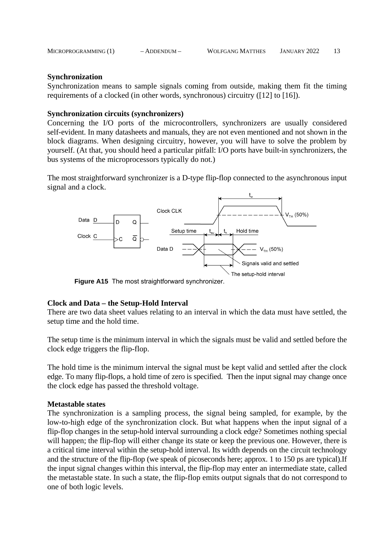|  | MICROPROGRAMMING (1) | $-$ ADDENDUM $-$ | <b>WOLFGANG MATTHES</b> | JANUARY 2022 |  |
|--|----------------------|------------------|-------------------------|--------------|--|
|--|----------------------|------------------|-------------------------|--------------|--|

## **Synchronization**

Synchronization means to sample signals coming from outside, making them fit the timing requirements of a clocked (in other words, synchronous) circuitry ([12] to [16]).

## **Synchronization circuits (synchronizers)**

Concerning the I/O ports of the microcontrollers, synchronizers are usually considered self-evident. In many datasheets and manuals, they are not even mentioned and not shown in the block diagrams. When designing circuitry, however, you will have to solve the problem by yourself. (At that, you should heed a particular pitfall: I/O ports have built-in synchronizers, the bus systems of the microprocessors typically do not.)

The most straightforward synchronizer is a D-type flip-flop connected to the asynchronous input signal and a clock.



**Figure A15** The most straightforward synchronizer.

## **Clock and Data – the Setup-Hold Interval**

There are two data sheet values relating to an interval in which the data must have settled, the setup time and the hold time.

The setup time is the minimum interval in which the signals must be valid and settled before the clock edge triggers the flip-flop.

The hold time is the minimum interval the signal must be kept valid and settled after the clock edge. To many flip-flops, a hold time of zero is specified. Then the input signal may change once the clock edge has passed the threshold voltage.

## **Metastable states**

The synchronization is a sampling process, the signal being sampled, for example, by the low-to-high edge of the synchronization clock. But what happens when the input signal of a flip-flop changes in the setup-hold interval surrounding a clock edge? Sometimes nothing special will happen; the flip-flop will either change its state or keep the previous one. However, there is a critical time interval within the setup-hold interval. Its width depends on the circuit technology and the structure of the flip-flop (we speak of picoseconds here; approx. 1 to 150 ps are typical).If the input signal changes within this interval, the flip-flop may enter an intermediate state, called the metastable state. In such a state, the flip-flop emits output signals that do not correspond to one of both logic levels.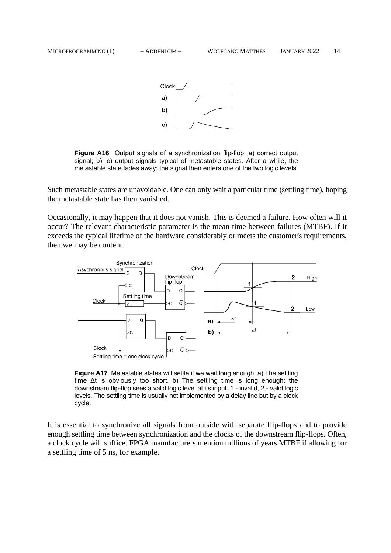

**Figure A16** Output signals of a synchronization flip-flop. a) correct output signal; b), c) output signals typical of metastable states. After a while, the metastable state fades away; the signal then enters one of the two logic levels.

Such metastable states are unavoidable. One can only wait a particular time (settling time), hoping the metastable state has then vanished.

Occasionally, it may happen that it does not vanish. This is deemed a failure. How often will it occur? The relevant characteristic parameter is the mean time between failures (MTBF). If it exceeds the typical lifetime of the hardware considerably or meets the customer's requirements, then we may be content.



**Figure A17** Metastable states will settle if we wait long enough. a) The settling time ∆t is obviously too short. b) The settling time is long enough; the downstream flip-flop sees a valid logic level at its input. 1 - invalid, 2 - valid logic levels. The settling time is usually not implemented by a delay line but by a clock cycle.

It is essential to synchronize all signals from outside with separate flip-flops and to provide enough settling time between synchronization and the clocks of the downstream flip-flops. Often, a clock cycle will suffice. FPGA manufacturers mention millions of years MTBF if allowing for a settling time of 5 ns, for example.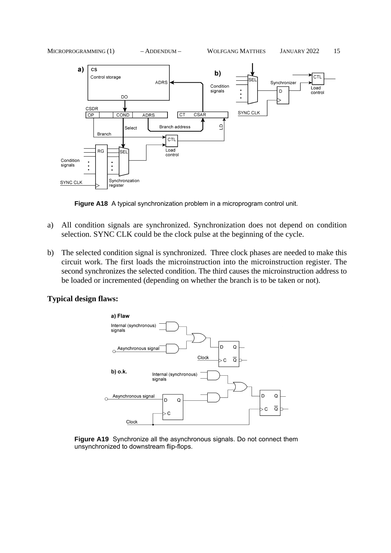

**Figure A18** A typical synchronization problem in a microprogram control unit.

- a) All condition signals are synchronized. Synchronization does not depend on condition selection. SYNC CLK could be the clock pulse at the beginning of the cycle.
- b) The selected condition signal is synchronized. Three clock phases are needed to make this circuit work. The first loads the microinstruction into the microinstruction register. The second synchronizes the selected condition. The third causes the microinstruction address to be loaded or incremented (depending on whether the branch is to be taken or not).

## **Typical design flaws:**



**Figure A19** Synchronize all the asynchronous signals. Do not connect them unsynchronized to downstream flip-flops.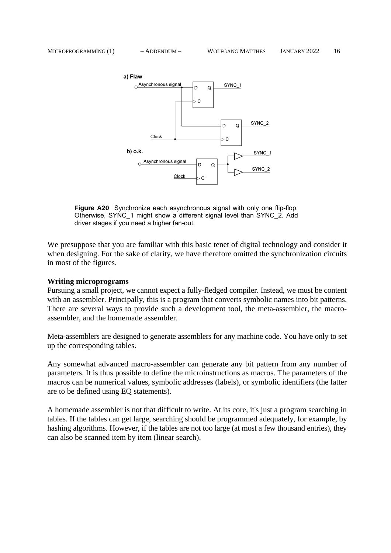

**Figure A20** Synchronize each asynchronous signal with only one flip-flop. Otherwise, SYNC\_1 might show a different signal level than SYNC\_2. Add driver stages if you need a higher fan-out.

We presuppose that you are familiar with this basic tenet of digital technology and consider it when designing. For the sake of clarity, we have therefore omitted the synchronization circuits in most of the figures.

#### **Writing microprograms**

Pursuing a small project, we cannot expect a fully-fledged compiler. Instead, we must be content with an assembler. Principally, this is a program that converts symbolic names into bit patterns. There are several ways to provide such a development tool, the meta-assembler, the macroassembler, and the homemade assembler.

Meta-assemblers are designed to generate assemblers for any machine code. You have only to set up the corresponding tables.

Any somewhat advanced macro-assembler can generate any bit pattern from any number of parameters. It is thus possible to define the microinstructions as macros. The parameters of the macros can be numerical values, symbolic addresses (labels), or symbolic identifiers (the latter are to be defined using EQ statements).

A homemade assembler is not that difficult to write. At its core, it's just a program searching in tables. If the tables can get large, searching should be programmed adequately, for example, by hashing algorithms. However, if the tables are not too large (at most a few thousand entries), they can also be scanned item by item (linear search).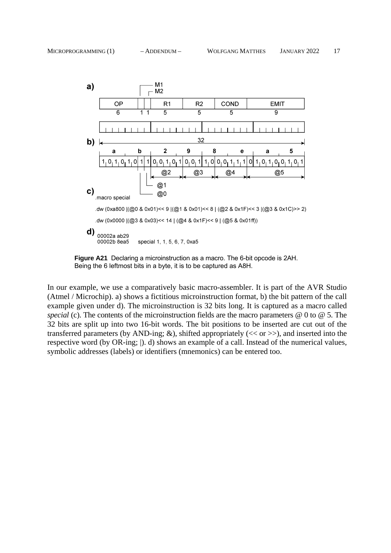



In our example, we use a comparatively basic macro-assembler. It is part of the AVR Studio (Atmel / Microchip). a) shows a fictitious microinstruction format, b) the bit pattern of the call example given under d). The microinstruction is 32 bits long. It is captured as a macro called *special* (c). The contents of the microinstruction fields are the macro parameters @ 0 to @ 5. The 32 bits are split up into two 16-bit words. The bit positions to be inserted are cut out of the transferred parameters (by AND-ing;  $\&$ ), shifted appropriately ( $<<$  or  $>>$ ), and inserted into the respective word (by OR-ing; |). d) shows an example of a call. Instead of the numerical values, symbolic addresses (labels) or identifiers (mnemonics) can be entered too.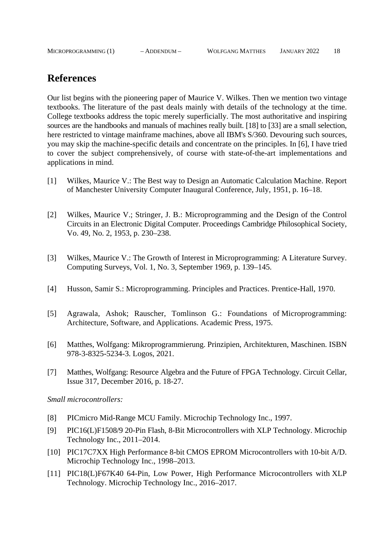## **References**

Our list begins with the pioneering paper of Maurice V. Wilkes. Then we mention two vintage textbooks. The literature of the past deals mainly with details of the technology at the time. College textbooks address the topic merely superficially. The most authoritative and inspiring sources are the handbooks and manuals of machines really built. [18] to [33] are a small selection, here restricted to vintage mainframe machines, above all IBM's S/360. Devouring such sources, you may skip the machine-specific details and concentrate on the principles. In [6], I have tried to cover the subject comprehensively, of course with state-of-the-art implementations and applications in mind.

- [1] Wilkes, Maurice V.: The Best way to Design an Automatic Calculation Machine. Report of Manchester University Computer Inaugural Conference, July, 1951, p. 16–18.
- [2] Wilkes, Maurice V.; Stringer, J. B.: Microprogramming and the Design of the Control Circuits in an Electronic Digital Computer. Proceedings Cambridge Philosophical Society, Vo. 49, No. 2, 1953, p. 230–238.
- [3] Wilkes, Maurice V.: The Growth of Interest in Microprogramming: A Literature Survey. Computing Surveys, Vol. 1, No. 3, September 1969, p. 139–145.
- [4] Husson, Samir S.: Microprogramming. Principles and Practices. Prentice-Hall, 1970.
- [5] Agrawala, Ashok; Rauscher, Tomlinson G.: Foundations of Microprogramming: Architecture, Software, and Applications. Academic Press, 1975.
- [6] Matthes, Wolfgang: Mikroprogrammierung. Prinzipien, Architekturen, Maschinen. ISBN 978-3-8325-5234-3. Logos, 2021.
- [7] Matthes, Wolfgang: Resource Algebra and the Future of FPGA Technology. Circuit Cellar, Issue 317, December 2016, p. 18-27.

*Small microcontrollers:*

- [8] PICmicro Mid-Range MCU Family. Microchip Technology Inc., 1997.
- [9] PIC16(L)F1508/9 20-Pin Flash, 8-Bit Microcontrollers with XLP Technology. Microchip Technology Inc., 2011–2014.
- [10] PIC17C7XX High Performance 8-bit CMOS EPROM Microcontrollers with 10-bit A/D. Microchip Technology Inc., 1998–2013.
- [11] PIC18(L)F67K40 64-Pin, Low Power, High Performance Microcontrollers with XLP Technology. Microchip Technology Inc., 2016–2017.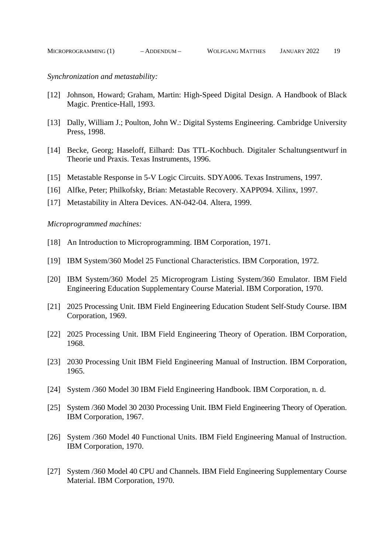*Synchronization and metastability:*

- [12] Johnson, Howard; Graham, Martin: High-Speed Digital Design. A Handbook of Black Magic. Prentice-Hall, 1993.
- [13] Dally, William J.; Poulton, John W.: Digital Systems Engineering. Cambridge University Press, 1998.
- [14] Becke, Georg; Haseloff, Eilhard: Das TTL-Kochbuch. Digitaler Schaltungsentwurf in Theorie und Praxis. Texas Instruments, 1996.
- [15] Metastable Response in 5-V Logic Circuits. SDYA006. Texas Instrumens, 1997.
- [16] Alfke, Peter; Philkofsky, Brian: Metastable Recovery. XAPP094. Xilinx, 1997.
- [17] Metastability in Altera Devices. AN-042-04. Altera, 1999.

*Microprogrammed machines:*

- [18] An Introduction to Microprogramming. IBM Corporation, 1971.
- [19] IBM System/360 Model 25 Functional Characteristics. IBM Corporation, 1972.
- [20] IBM System/360 Model 25 Microprogram Listing System/360 Emulator. IBM Field Engineering Education Supplementary Course Material. IBM Corporation, 1970.
- [21] 2025 Processing Unit. IBM Field Engineering Education Student Self-Study Course. IBM Corporation, 1969.
- [22] 2025 Processing Unit. IBM Field Engineering Theory of Operation. IBM Corporation, 1968.
- [23] 2030 Processing Unit IBM Field Engineering Manual of Instruction. IBM Corporation, 1965.
- [24] System /360 Model 30 IBM Field Engineering Handbook. IBM Corporation, n. d.
- [25] System /360 Model 30 2030 Processing Unit. IBM Field Engineering Theory of Operation. IBM Corporation, 1967.
- [26] System /360 Model 40 Functional Units. IBM Field Engineering Manual of Instruction. IBM Corporation, 1970.
- [27] System /360 Model 40 CPU and Channels. IBM Field Engineering Supplementary Course Material. IBM Corporation, 1970.